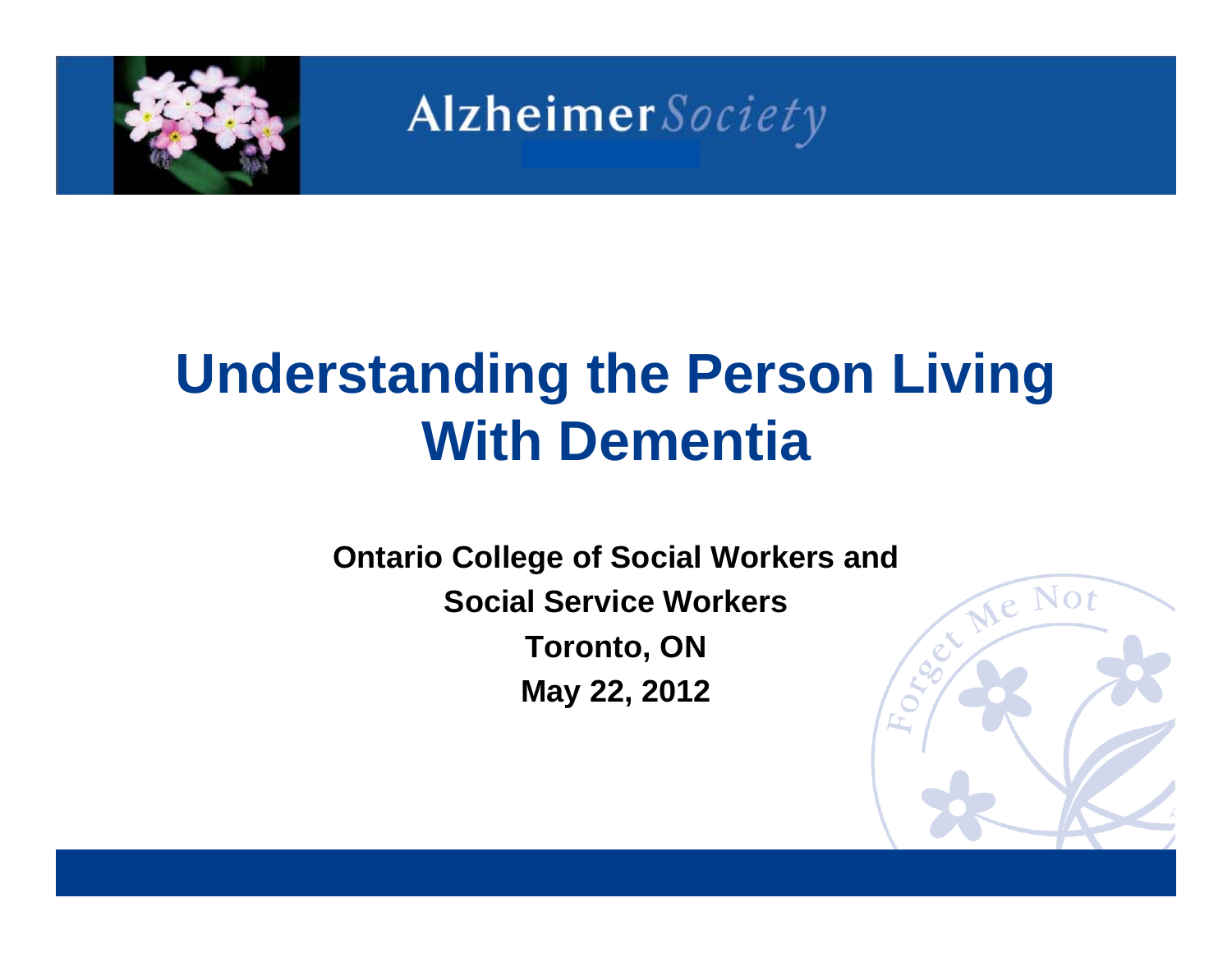

## **Understanding the Person Living With Dementia**

**Ontario College of Social Workers and<br>
Social Service Workers<br>
Toronto ON Social Service WorkersToronto, ON May 22, 2012**

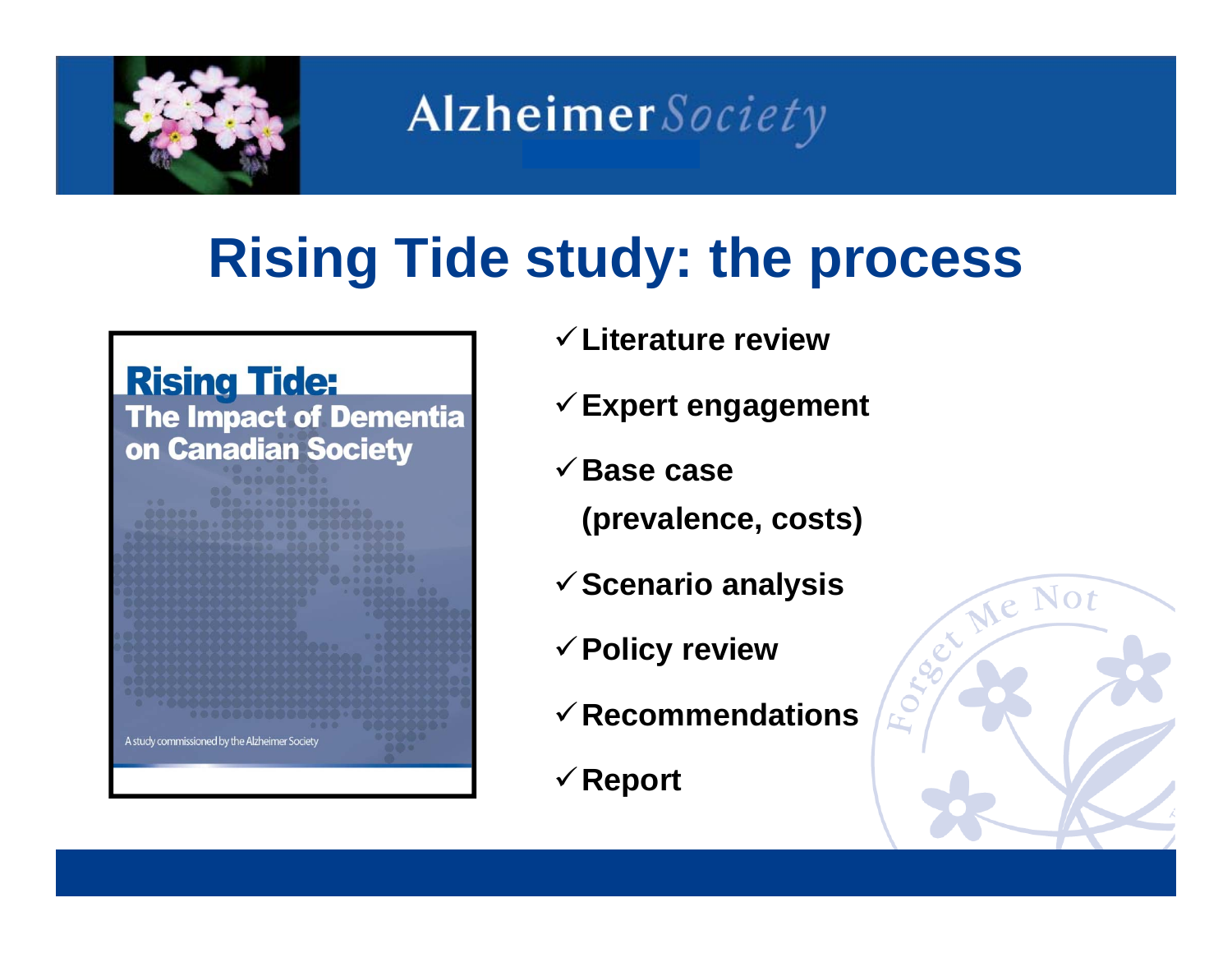

## **Rising Tide study: the process**



- **Literature review**
- **Expert engagement**
- **Base case** 
	- **(prevalence, costs)**
- **Scenario analysis**
- **Policy review**
- **Recommendations**
- **Report**

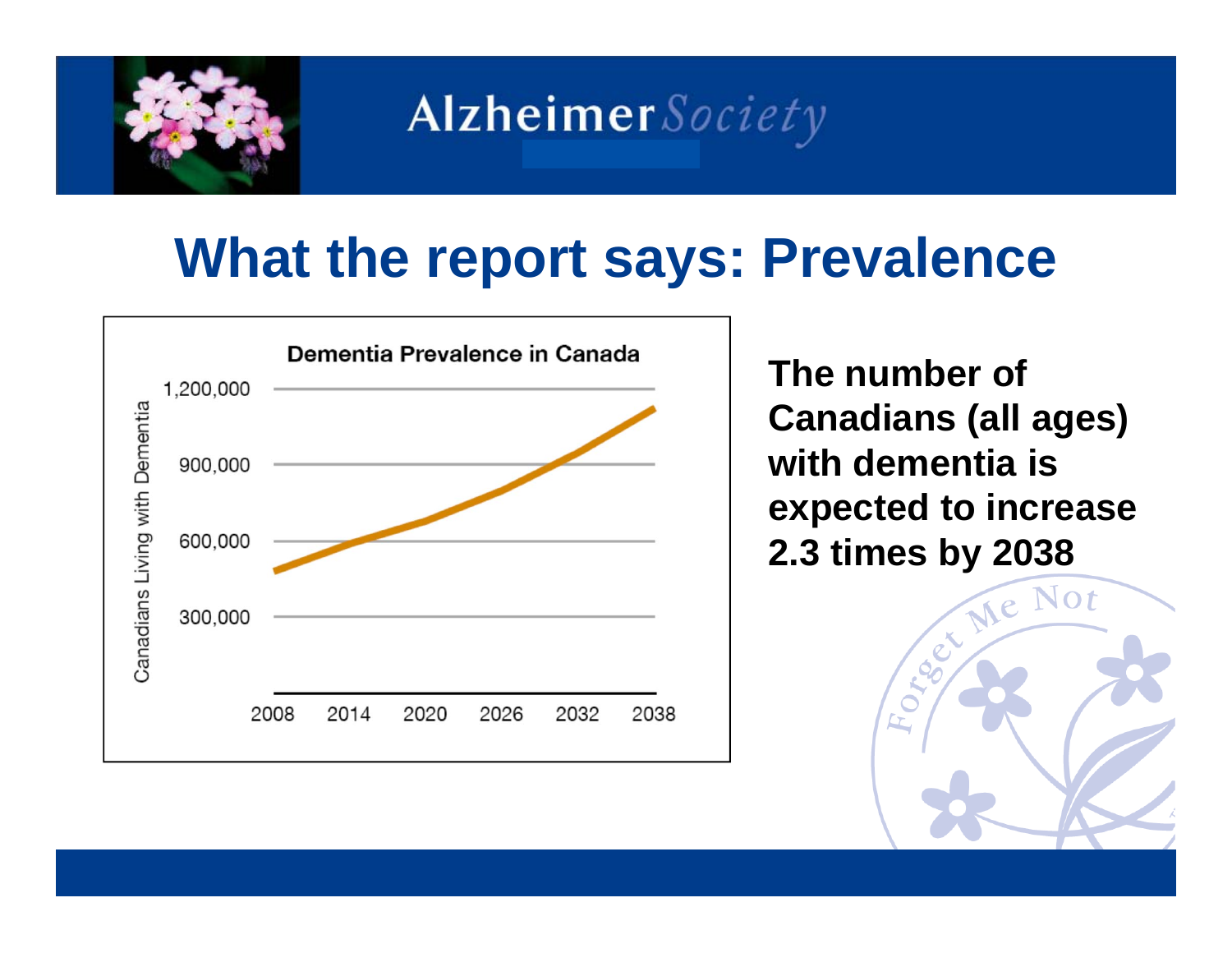

### **What the report says: Prevalence**



**The number of Canadians (all ages) with dementia is expected to increase 2.3 times by 2038**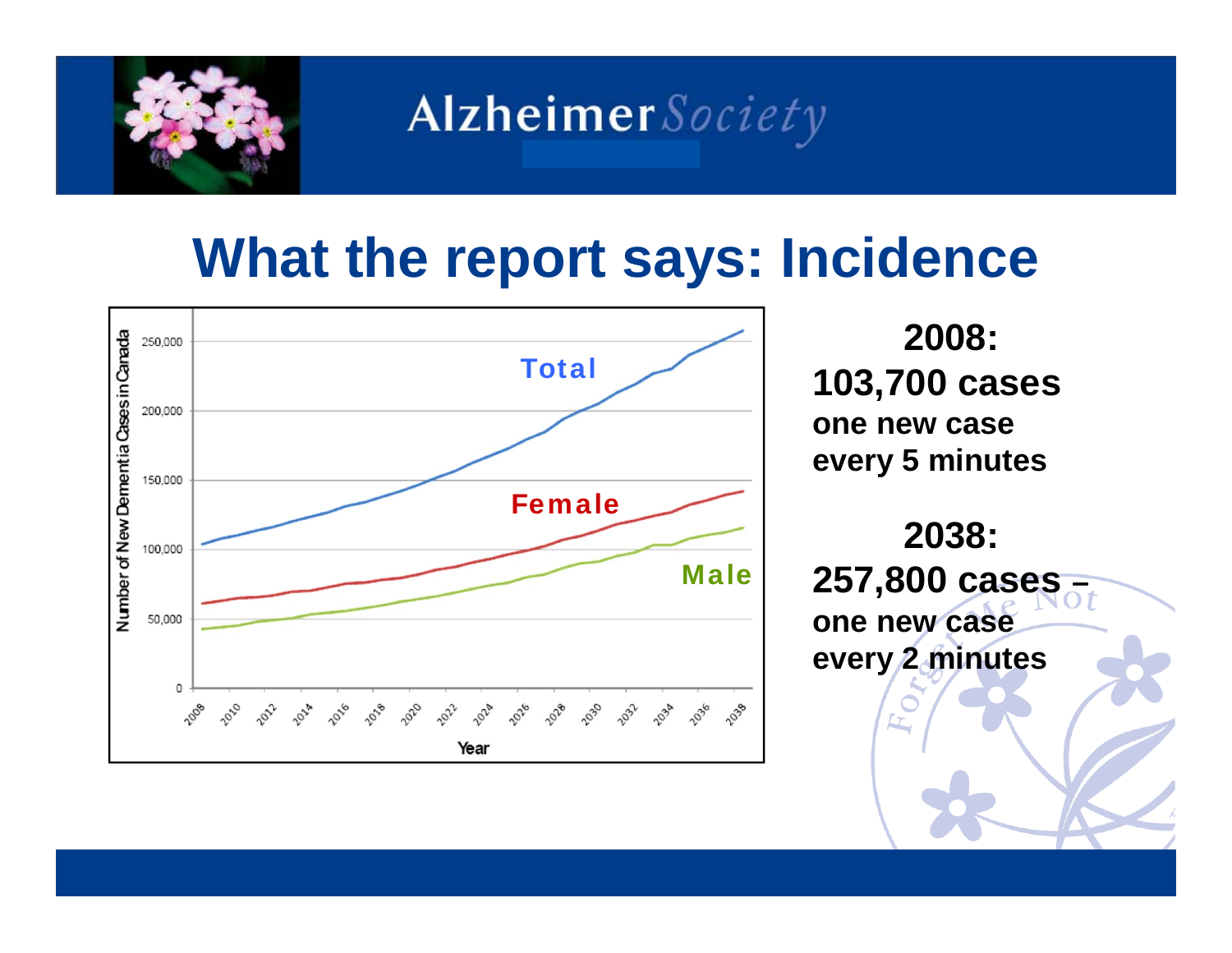

### **What the report says: Incidence**



**2008: 103,700 cases one new case every 5 minutes** 

**2038: 257,800 cases – one new case every 2 minutes**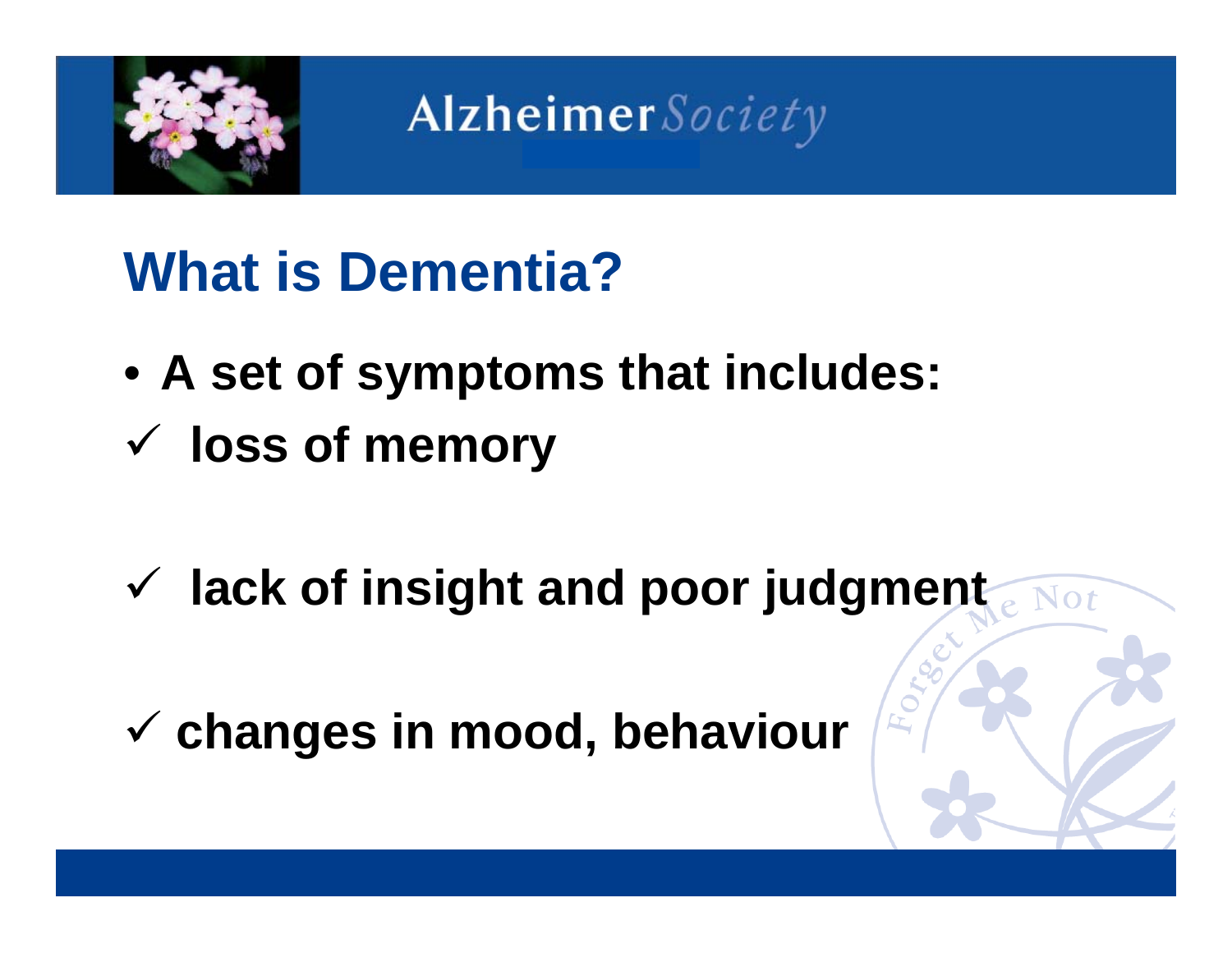

### **What is Dementia?**

- **A set of symptoms that includes: loss of memory**
- **lack of insight and poor judgment**
- **changes in mood, behaviour**

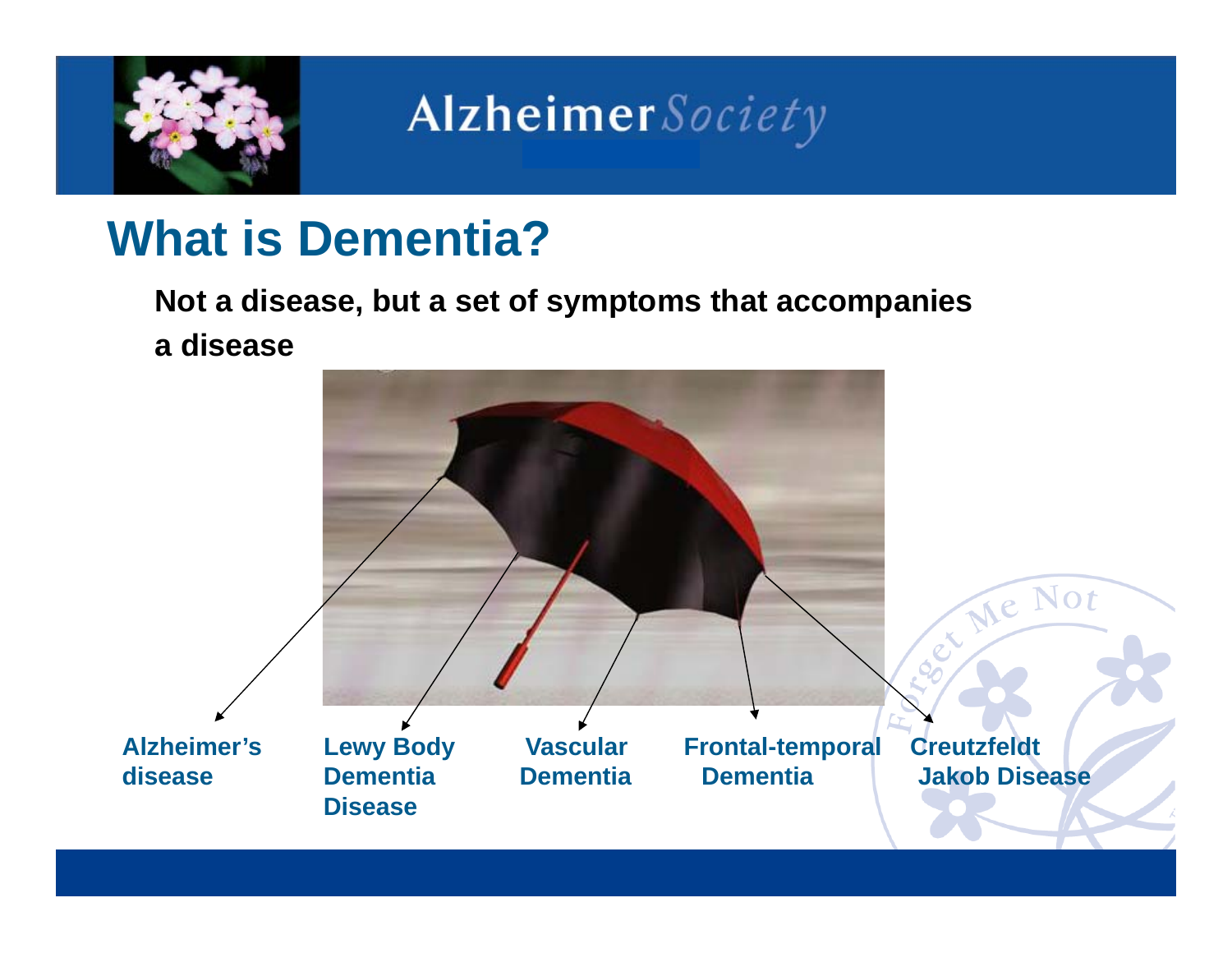

#### **What is Dementia?**

**Not a disease, but a set of symptoms that accompanies a disease**

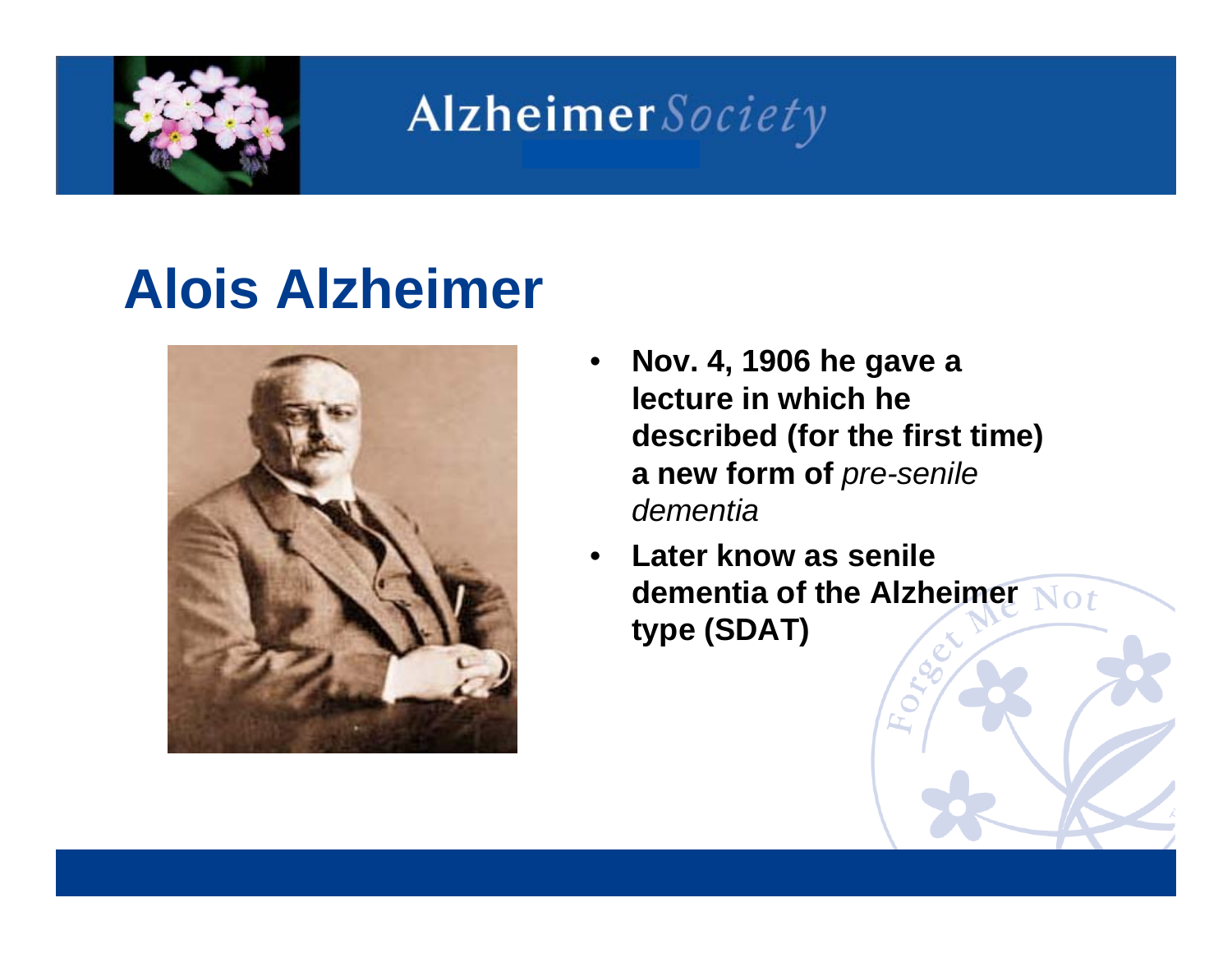

### **Alois Alzheimer**



- • **Nov. 4, 1906 he gave a lecture in which he described (for the first time) a new form of** *pre-senile dementia*
- • **Later know as senile dementia of the Alzheimer type (SDAT)**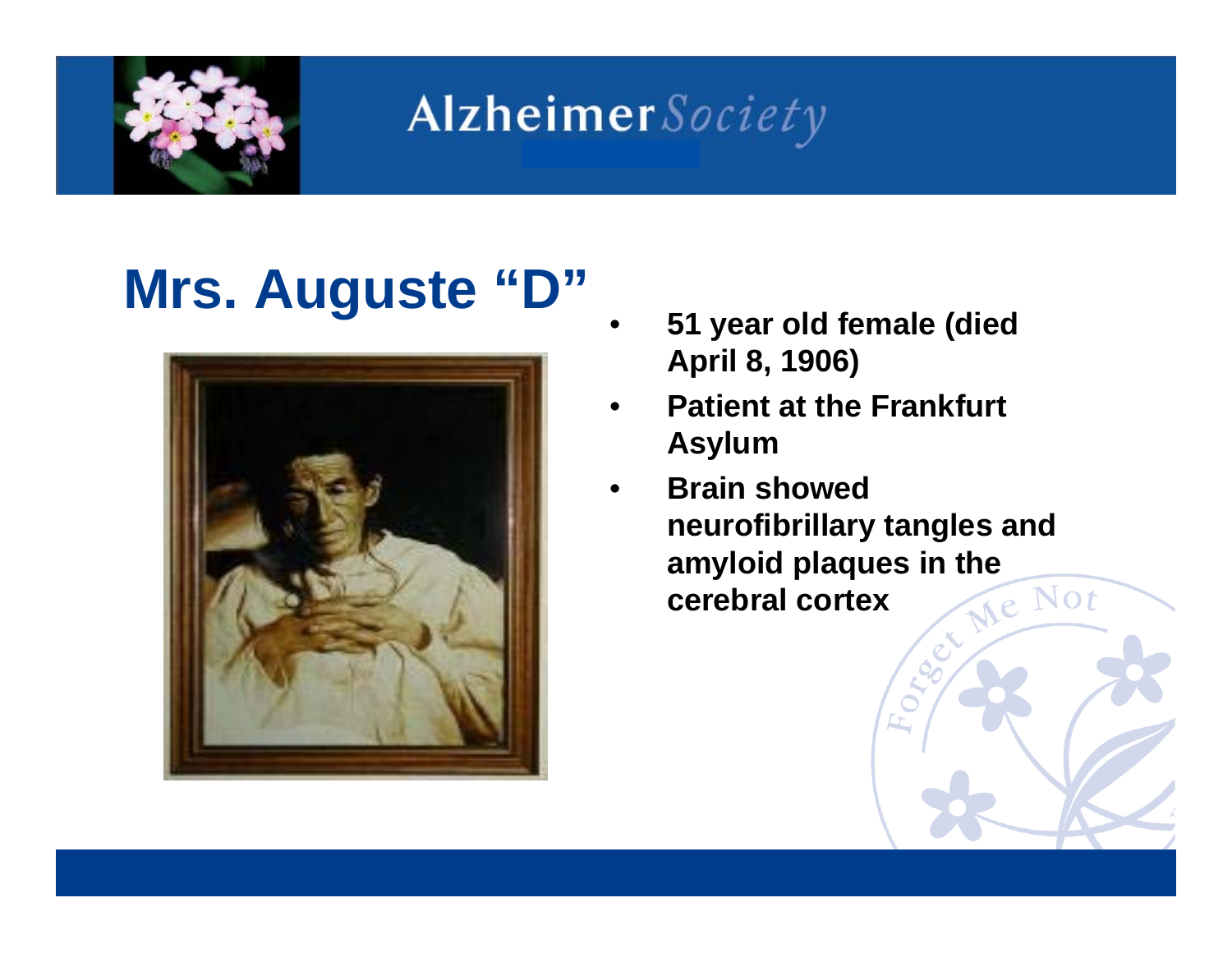

## **Mrs. Auguste "D"**



- • **51 year old female (died April 8, 1906)**
- • **Patient at the Frankfurt Asylum**
- • **Brain showed neurofibrillary tangles and amyloid plaques in the cerebral cortex cerebral cortex**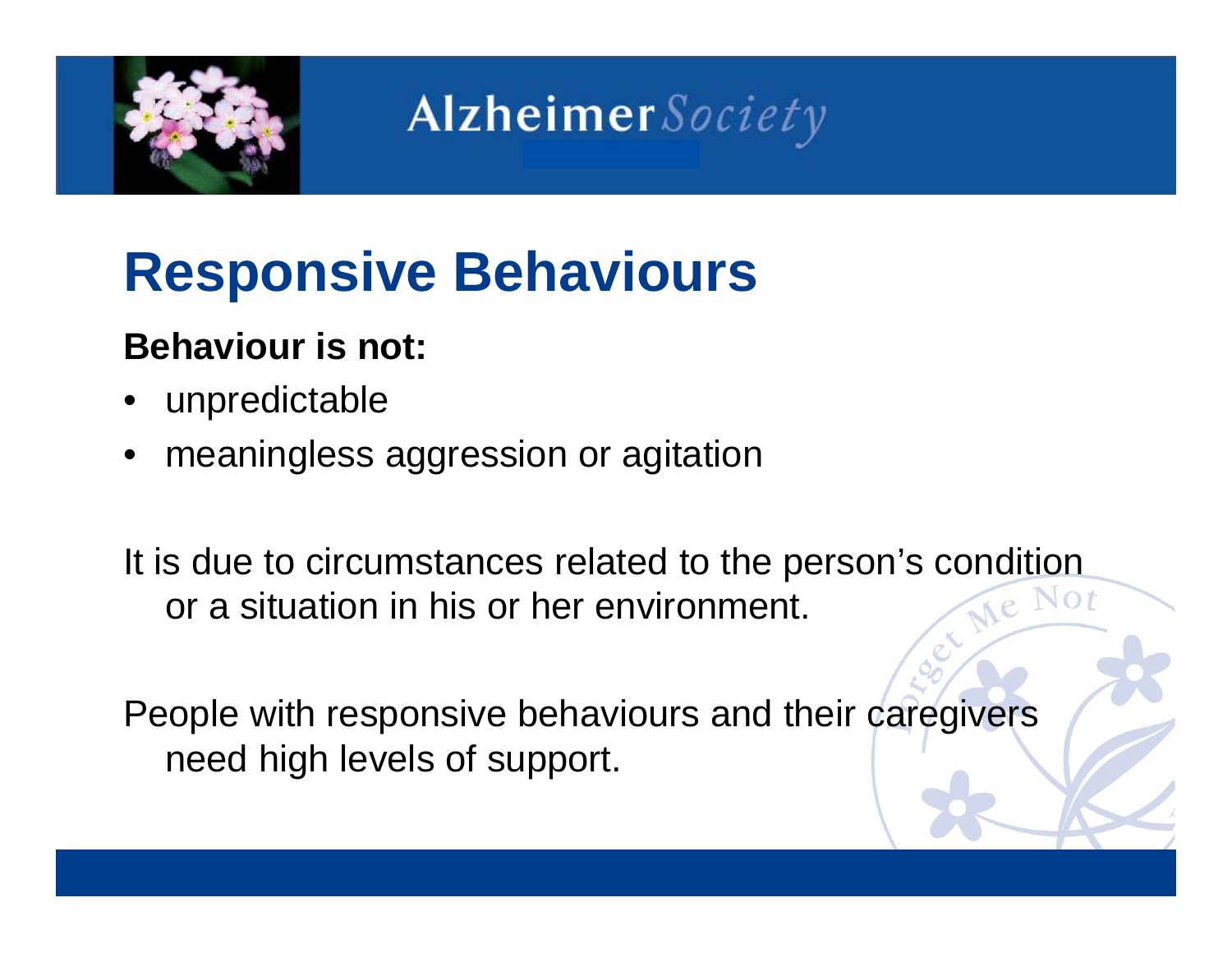

### **Responsive Behaviours**

#### **Behaviour is not:**

- •unpredictable
- •meaningless aggression or agitation

It is due to circumstances related to the person's condition<br>or a situation in his or her environment or a situation in his or her environment.

People with responsive behaviours and their caregivers need high levels of support.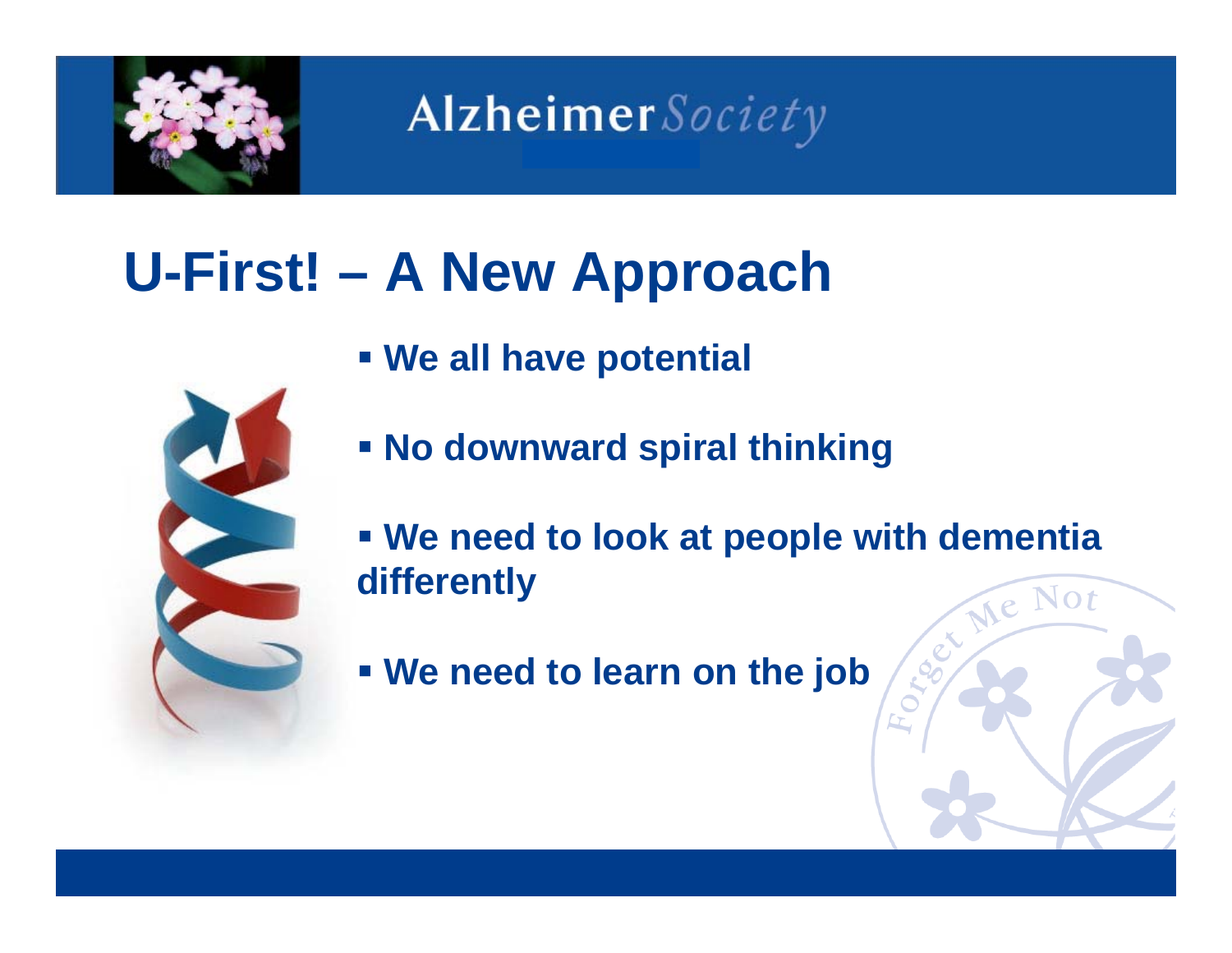

## **U-First! – A New Approach**

**We all have potential** 



- **We need to look at people with dementia differently**
- **We need to learn on the job**

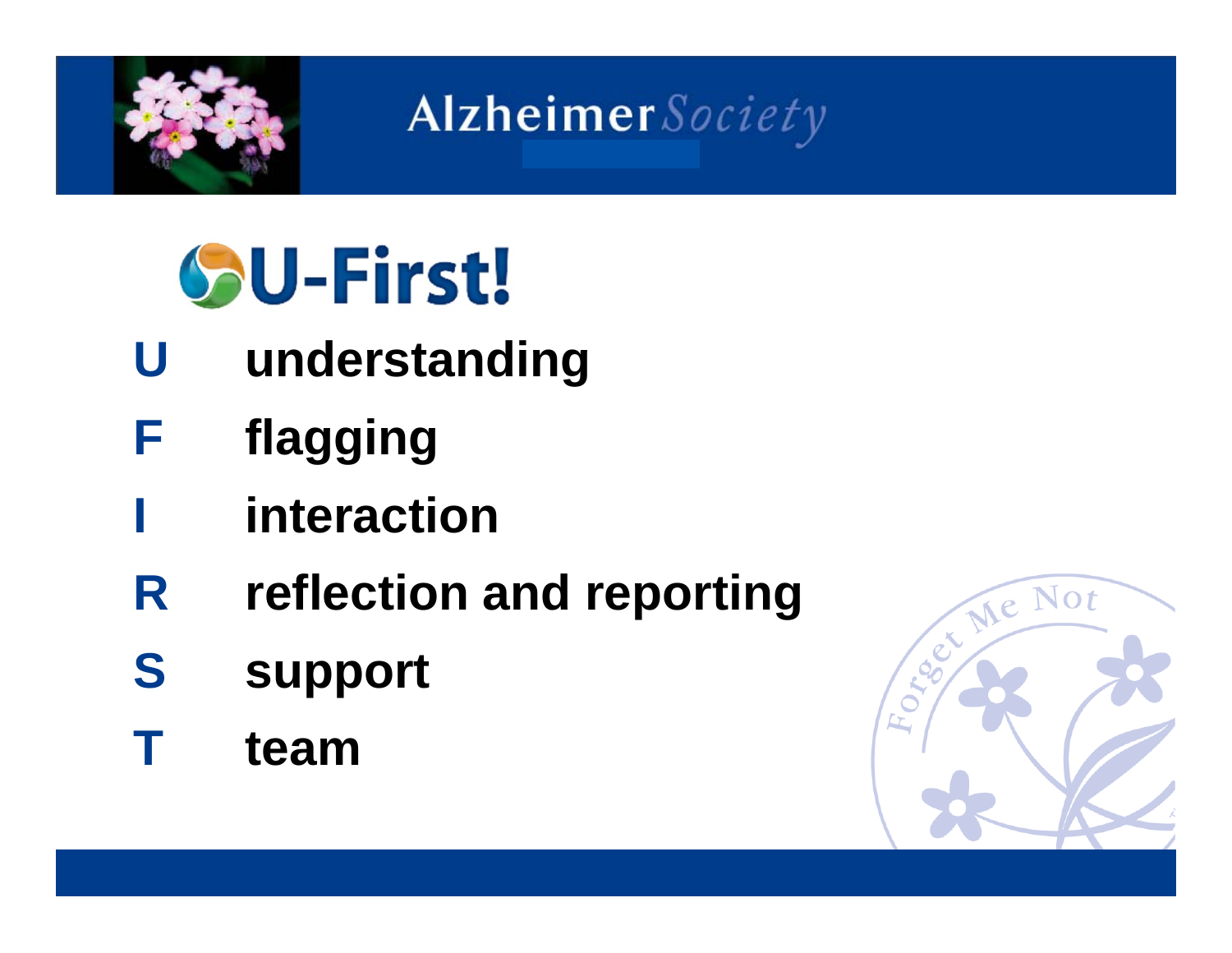

# **SU-First!**

- **Uunderstanding**
- **Fflagging**
- **interaction**
- **Rreflection and reporting**
- **Ssupport**
- **Tteam**

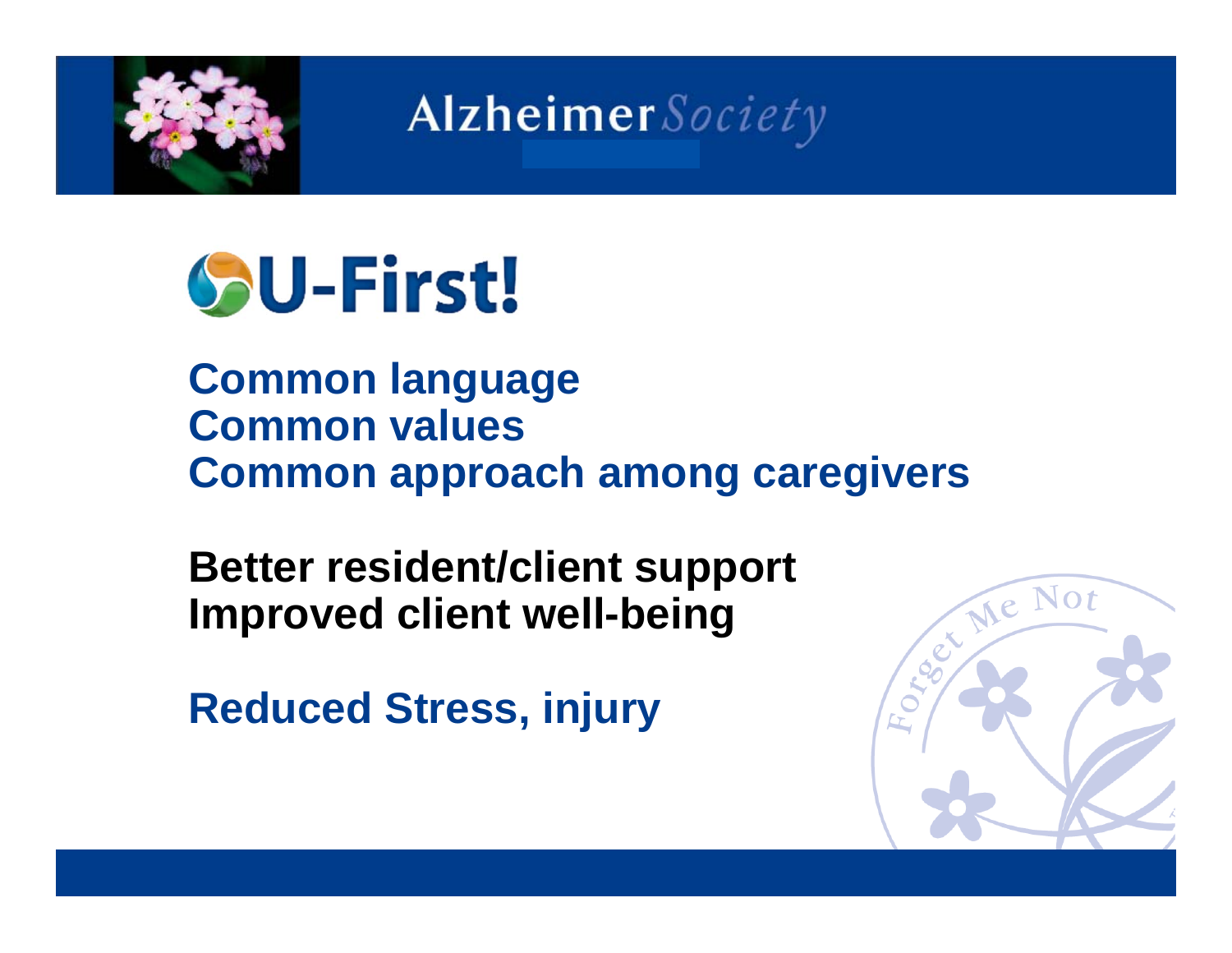

# **SU-First!**

**Common language Common values Common approach among caregivers**

**Better resident/client support Improved client well-being**

**Reduced Stress, injury**

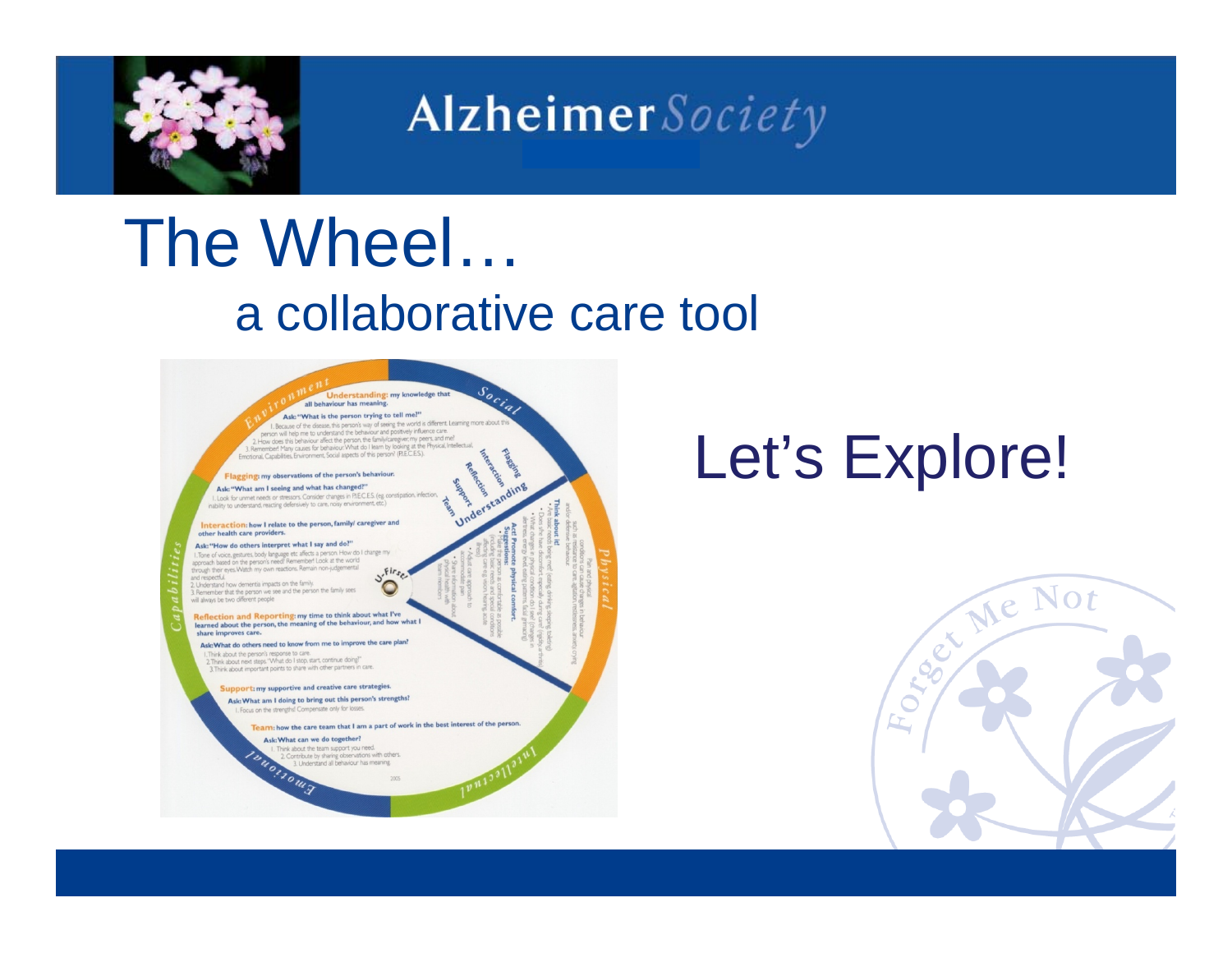

### The Wheel… a collaborative care tool



### Let's Explore!

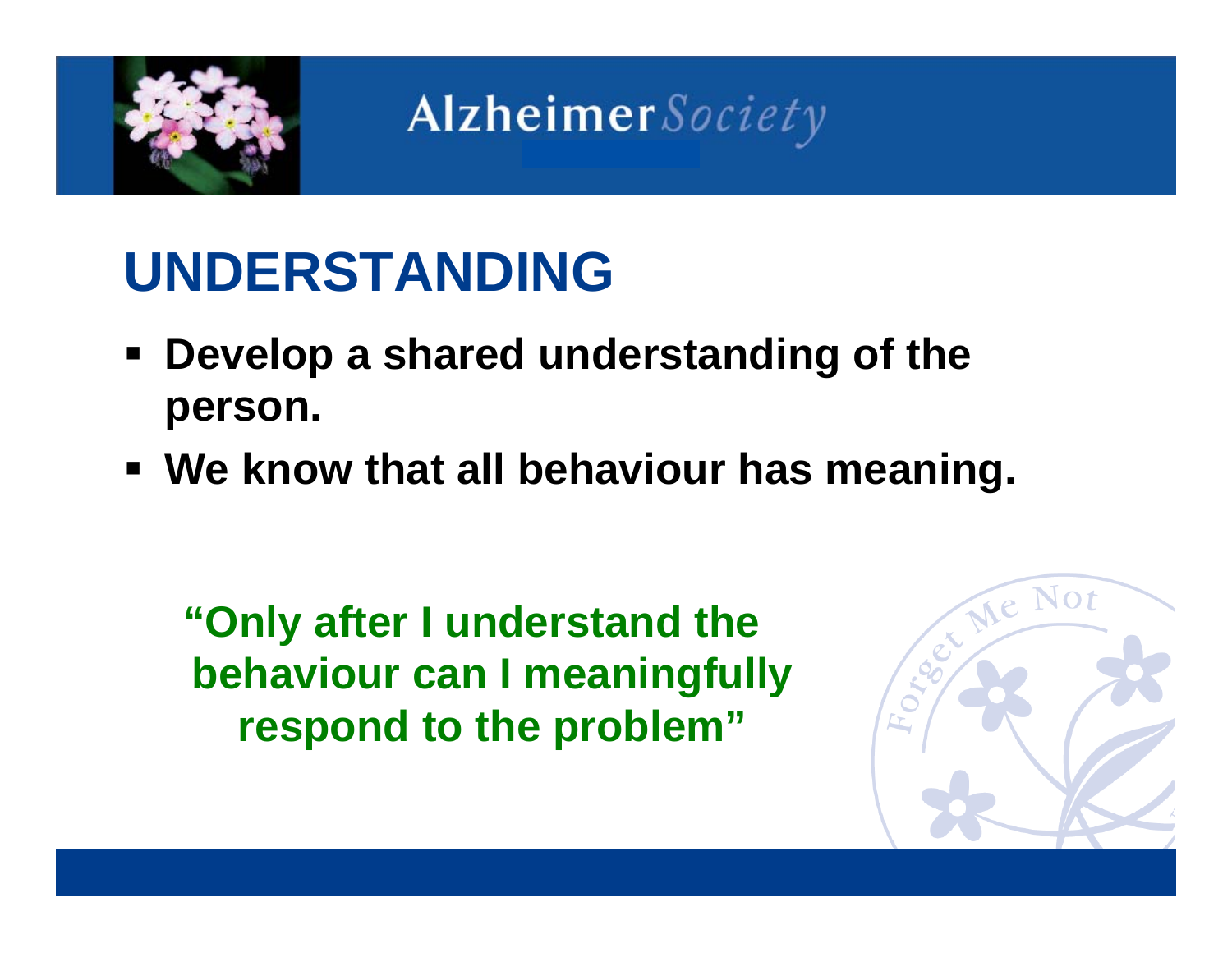

### **UNDERSTANDING**

- $\blacksquare$  **Develop a shared understanding of the person.**
- **We know that all behaviour has meaning.**

**"Only after I understand the behaviour can I meaningfully respond to the problem"**

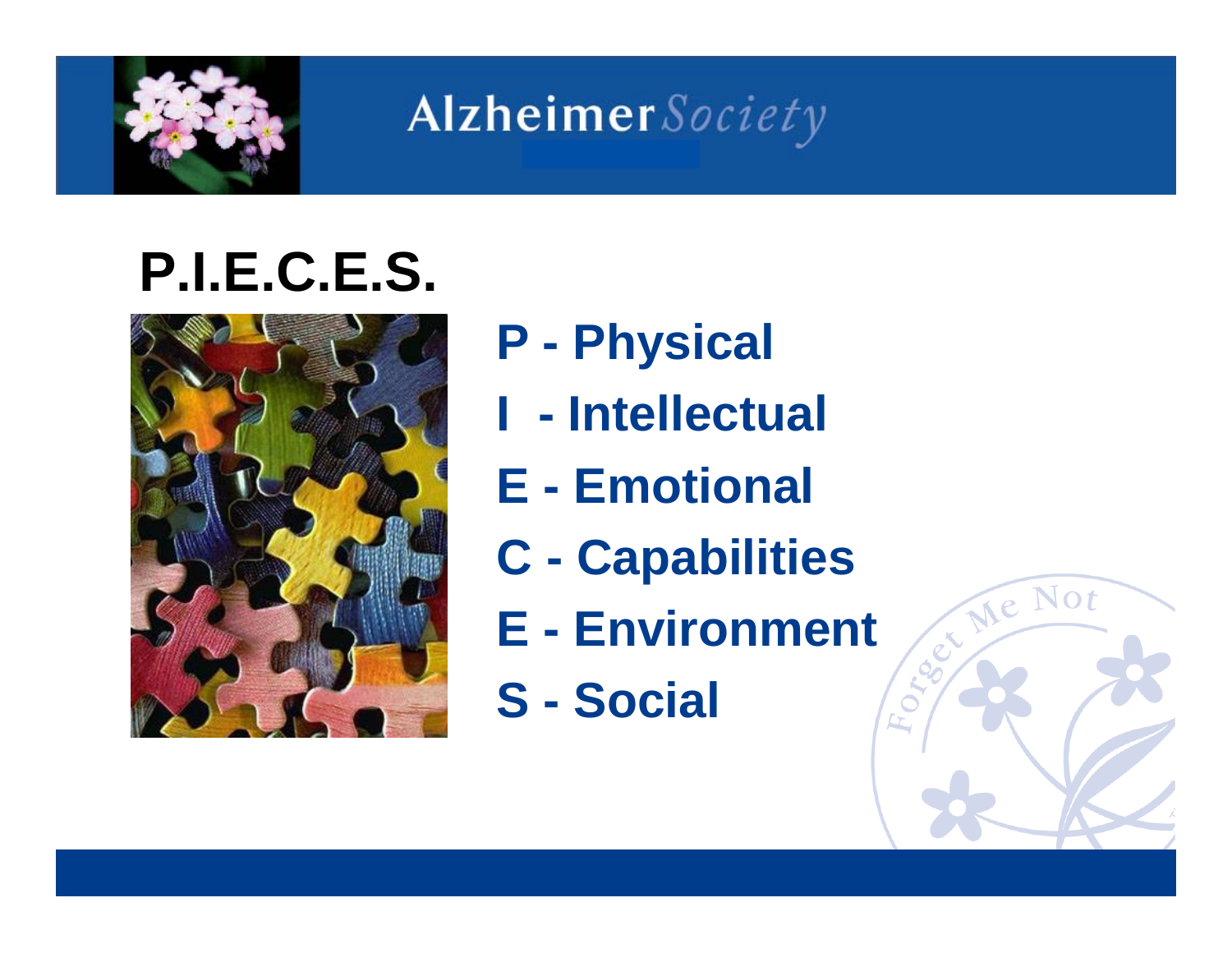

## **P.I.E.C.E.S.**



- **P - Physical**
- **I - Intellectual**
- **E - Emotional**
- **C - Capabilities**
- **E - Environment**
- **S - Social**

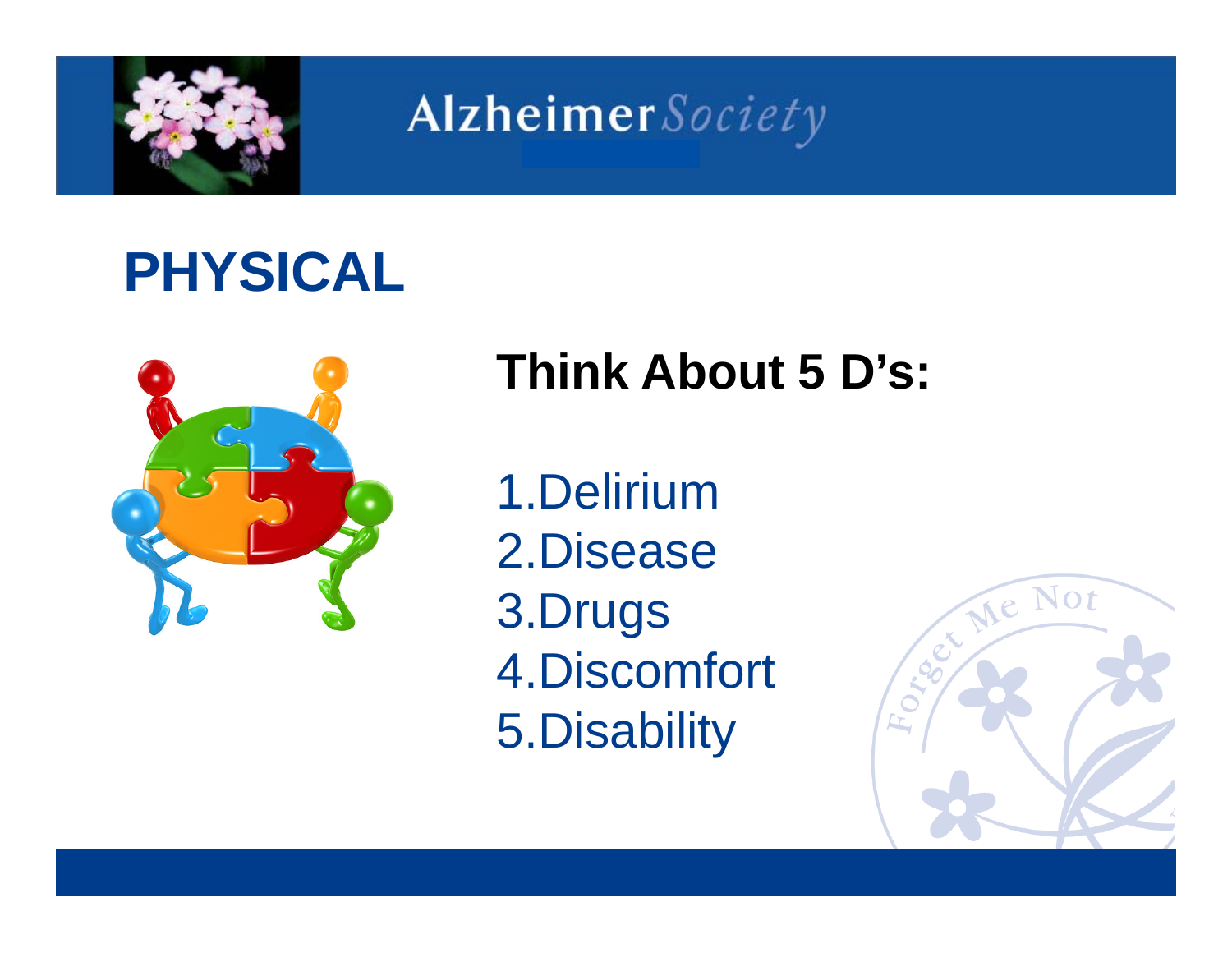

## **PHYSICAL**



### **Think About 5 D's:**

1.Delirium2.Disease3.Drugs 4.Discomfort 5.Disability

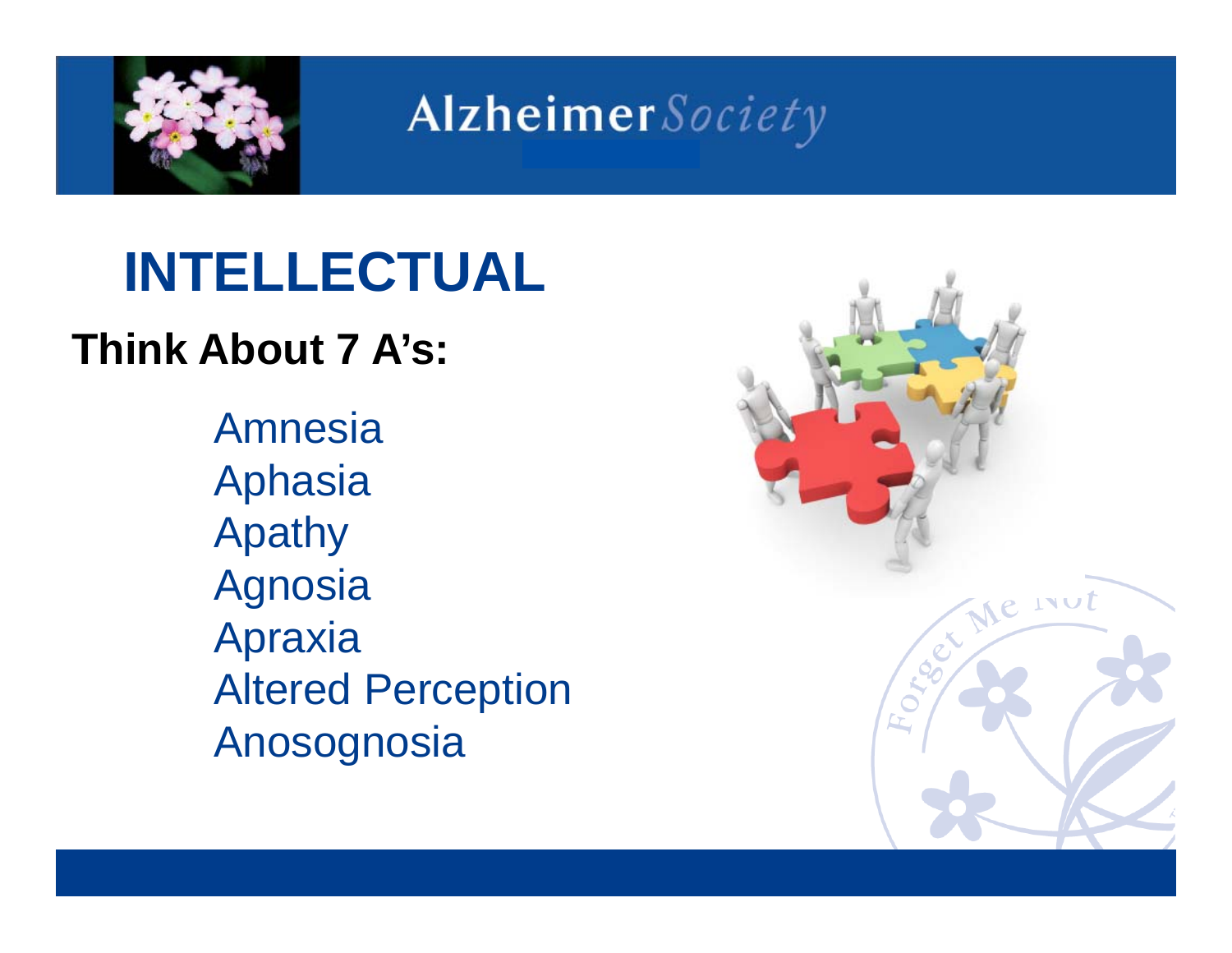

## **INTELLECTUAL**

#### **Think About 7 A's:**

AmnesiaAphasia Apathy **Agnosia** Apraxia Altered Perception Anosognosia

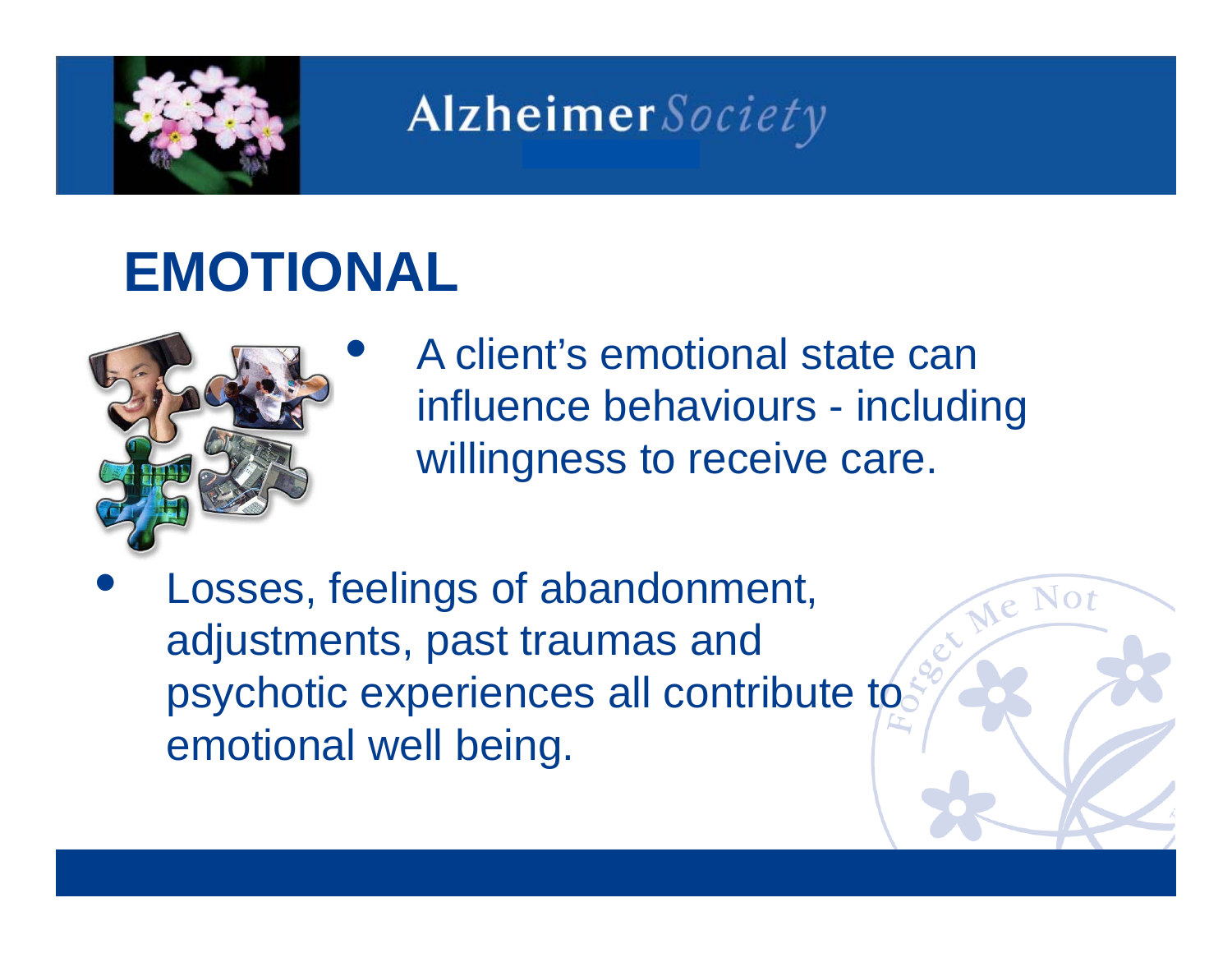

### **EMOTIONAL**

 $\bullet$ 



 A client's emotional state can influence behaviours - including willingness to receive care.

• Losses, feelings of abandonment, adjustments, past traumas and psychotic experiences all contribute to emotional well being.

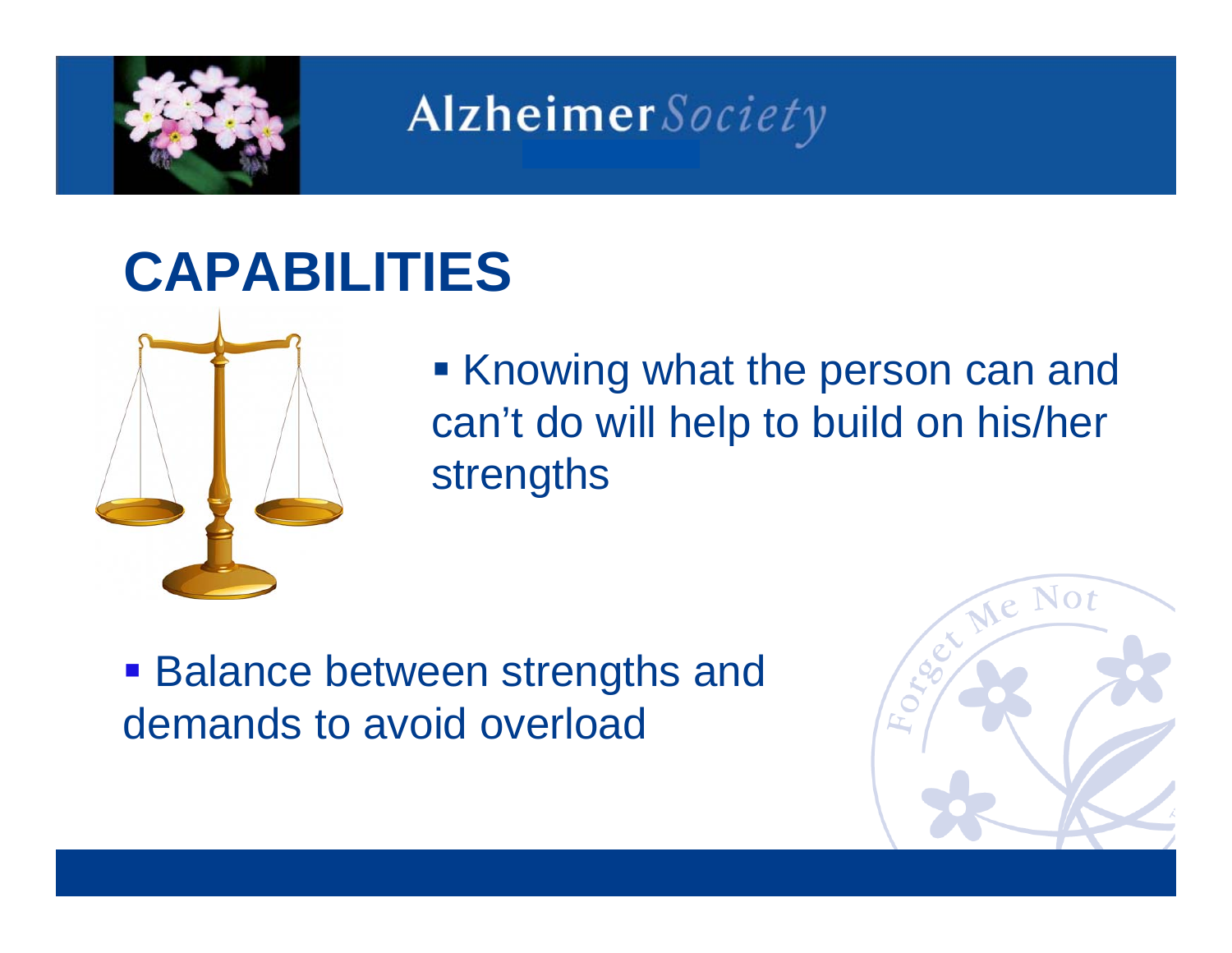

### **CAPABILITIES**



■ Knowing what the person can and can't do will help to build on his/her strengths

**Balance between strengths and** demands to avoid overload

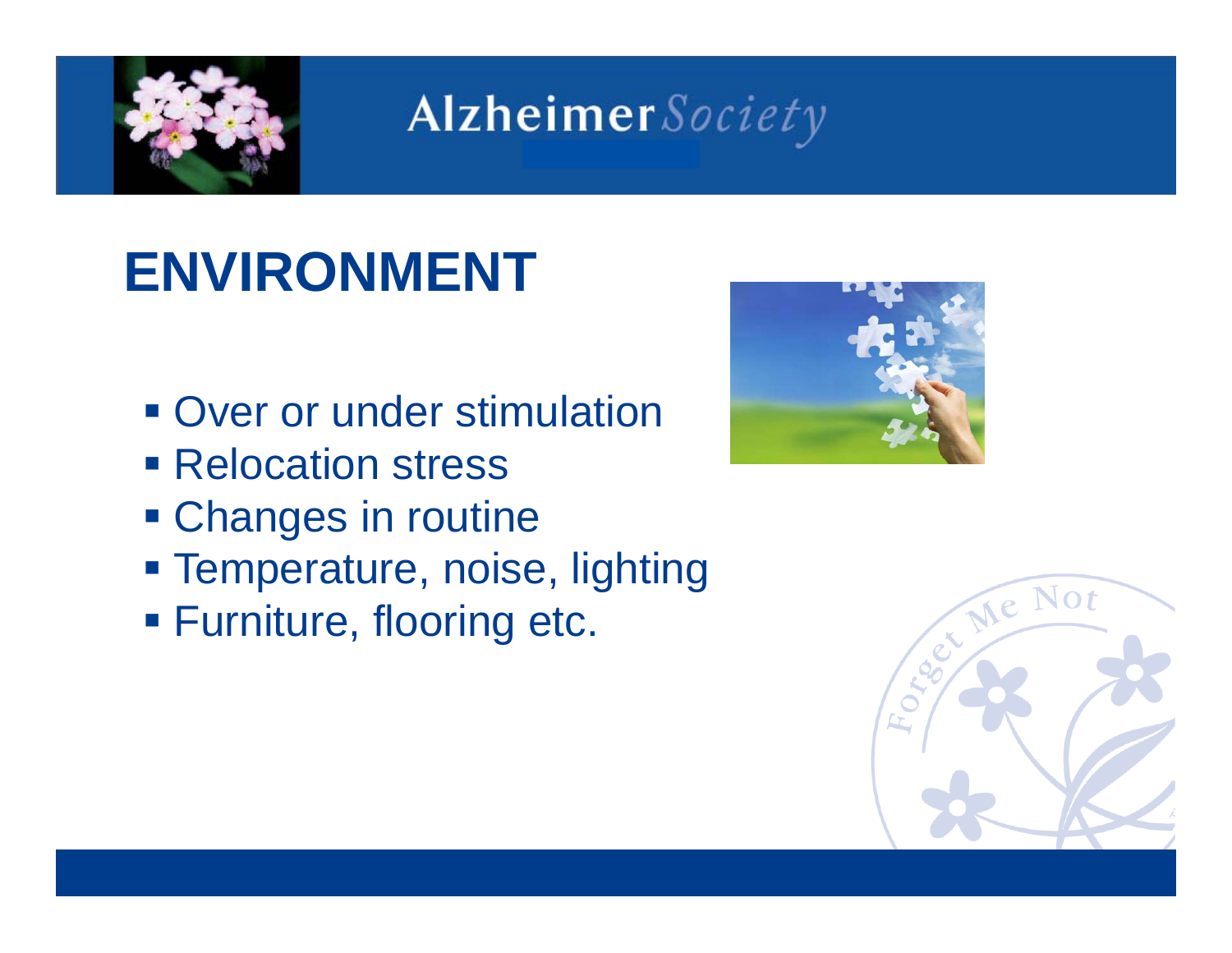

## **ENVIRONMENT**

- **Over or under stimulation**
- **Relocation stress**
- **Changes in routine**
- **Example Temperature, noise, lighting**
- Furniture, flooring etc.



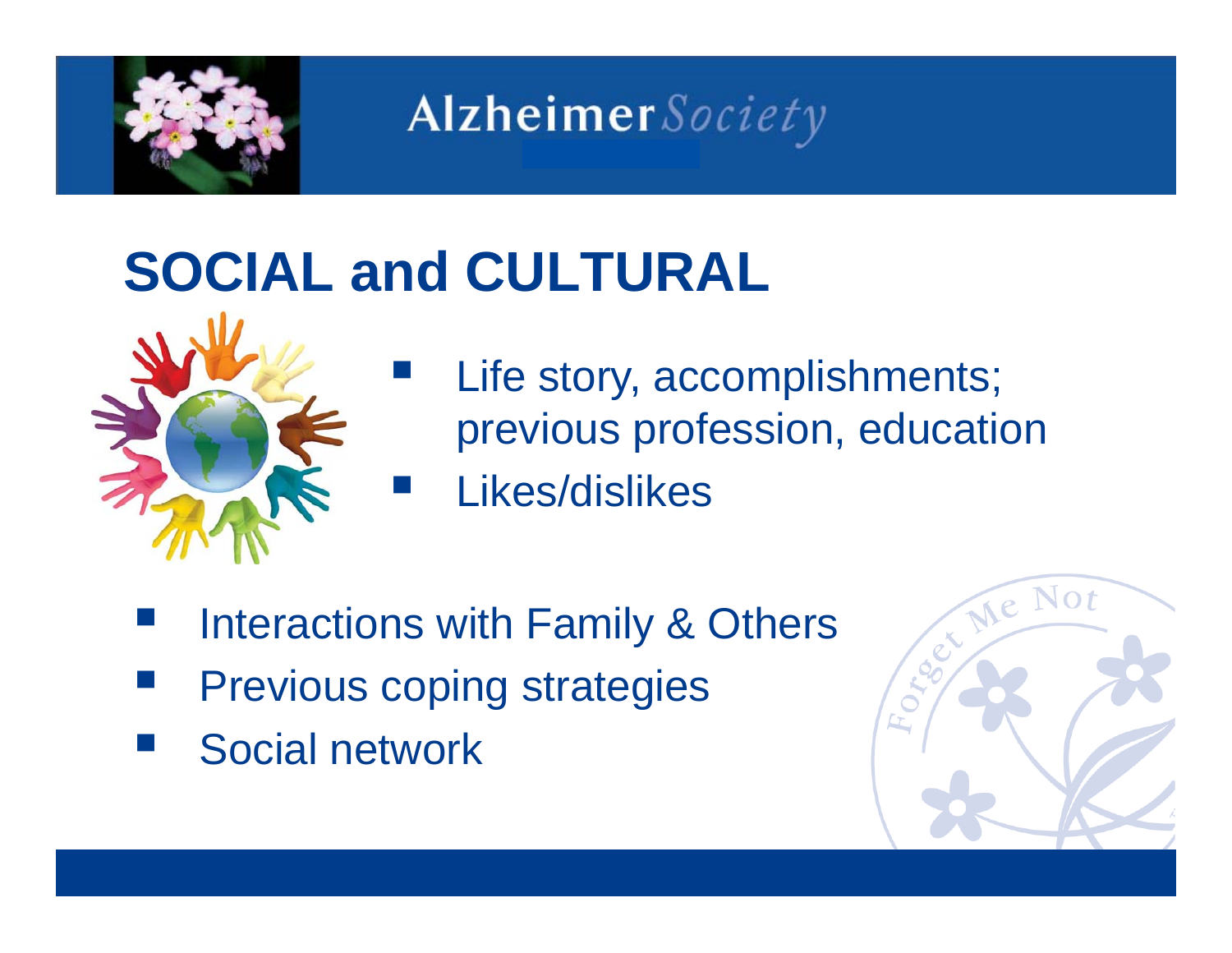

## **SOCIAL and CULTURAL**



- Life story, accomplishments; previous profession, education
	- Likes/dislikes
- Interactions with Family & Others
- Previous coping strategies
- Social network

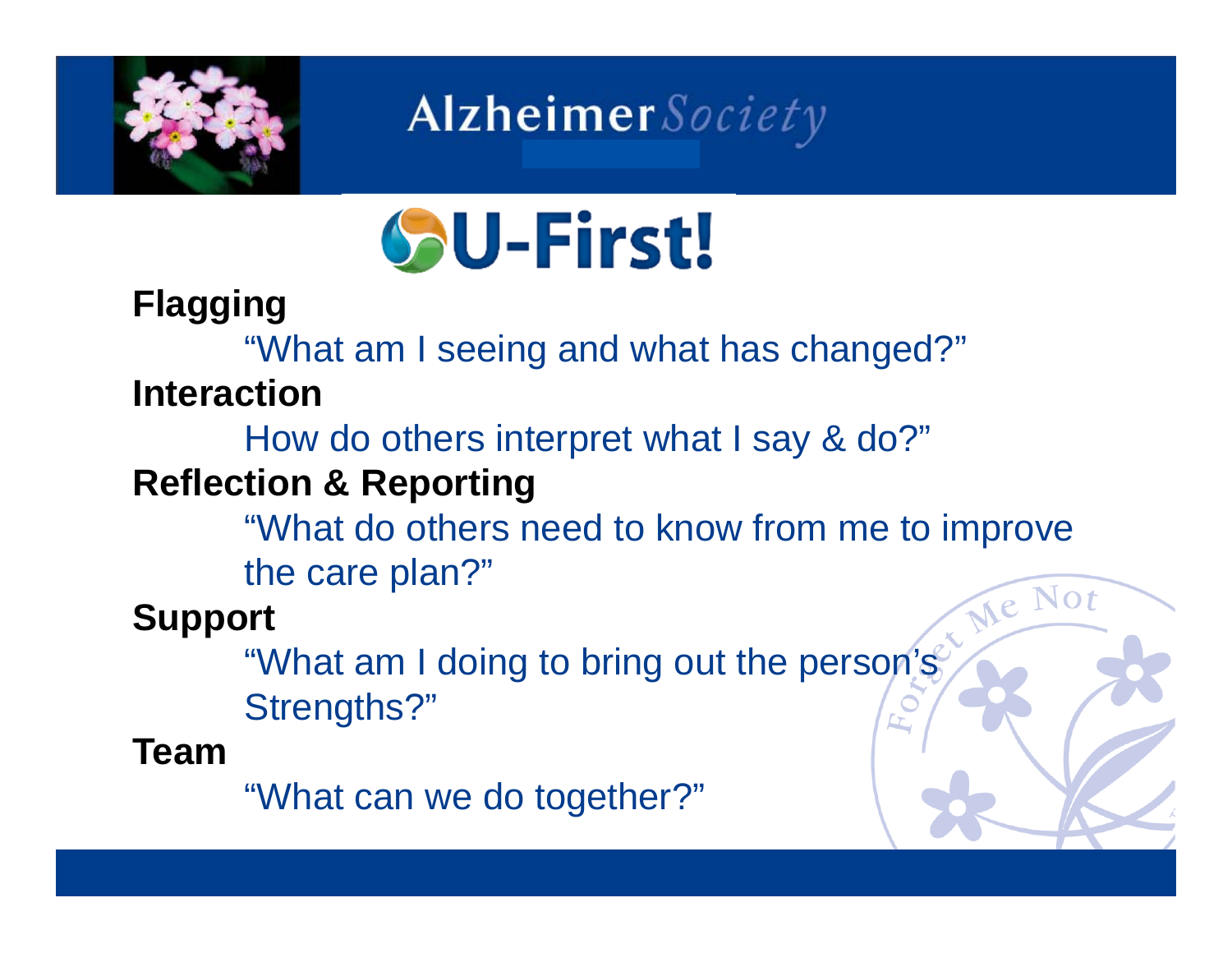



#### **Flagging**

"What am I seeing and what has changed?"

#### **Interaction**

How do others interpret what I say & do?"

#### **Reflection & Reporting**

"What do others need to know from me to improve

the care plan?"

#### **Support**

"What am I doing to bring out the person's Strengths?"

#### **Team**

"What can we do together?"